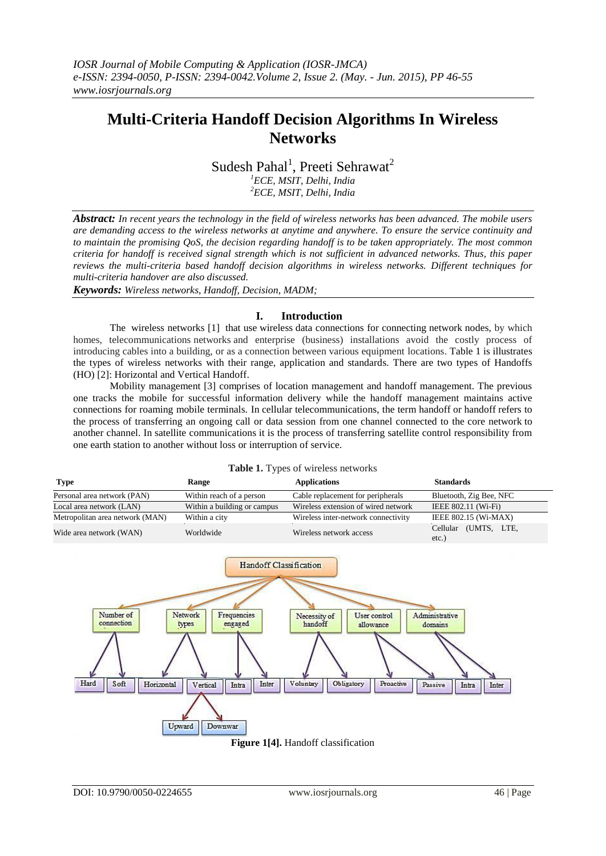# **Multi-Criteria Handoff Decision Algorithms In Wireless Networks**

Sudesh Pahal<sup>1</sup>, Preeti Sehrawat<sup>2</sup>

*<sup>1</sup>ECE, MSIT, Delhi, India <sup>2</sup>ECE, MSIT, Delhi, India*

*Abstract: In recent years the technology in the field of wireless networks has been advanced. The mobile users are demanding access to the wireless networks at anytime and anywhere. To ensure the service continuity and to maintain the promising QoS, the decision regarding handoff is to be taken appropriately. The most common criteria for handoff is received signal strength which is not sufficient in advanced networks. Thus, this paper reviews the multi-criteria based handoff decision algorithms in wireless networks. Different techniques for multi-criteria handover are also discussed.* 

*Keywords: Wireless networks, Handoff, Decision, MADM;*

### **I. Introduction**

The wireless networks [1] that use wireless data connections for connecting network nodes, by which homes, telecommunications networks and enterprise (business) installations avoid the costly process of introducing cables into a building, or as a connection between various equipment locations. Table 1 is illustrates the types of wireless networks with their range, application and standards. There are two types of Handoffs (HO) [2]: Horizontal and Vertical Handoff.

Mobility management [3] comprises of location management and handoff management. The previous one tracks the mobile for successful information delivery while the handoff management maintains active connections for roaming mobile terminals. In [cellular](https://en.wikipedia.org/wiki/Cellular_network) [telecommunications,](https://en.wikipedia.org/wiki/Telecommunications) the term handoff or handoff refers to the process of transferring an ongoing call or data session from one channel connected to the [core network](https://en.wikipedia.org/wiki/Core_network) to another channel. In [satellite communications](https://en.wikipedia.org/wiki/Satellite_communications) it is the process of transferring satellite control responsibility from one [earth station](https://en.wikipedia.org/wiki/Earth_station_(communications)) to another without loss or interruption of service.

| <b>Table 1.</b> Types of wireless networks |                             |                                     |                                   |  |  |  |
|--------------------------------------------|-----------------------------|-------------------------------------|-----------------------------------|--|--|--|
| <b>Type</b>                                | <b>Range</b>                | <b>Applications</b>                 | <b>Standards</b>                  |  |  |  |
| Personal area network (PAN)                | Within reach of a person    | Cable replacement for peripherals   | Bluetooth, Zig Bee, NFC           |  |  |  |
| Local area network (LAN)                   | Within a building or campus | Wireless extension of wired network | IEEE 802.11 (Wi-Fi)               |  |  |  |
| Metropolitan area network (MAN)            | Within a city               | Wireless inter-network connectivity | IEEE 802.15 (Wi-MAX)              |  |  |  |
| Wide area network (WAN)                    | Worldwide                   | Wireless network access             | (UMTS, LTE,<br>Cellular<br>$-4-1$ |  |  |  |

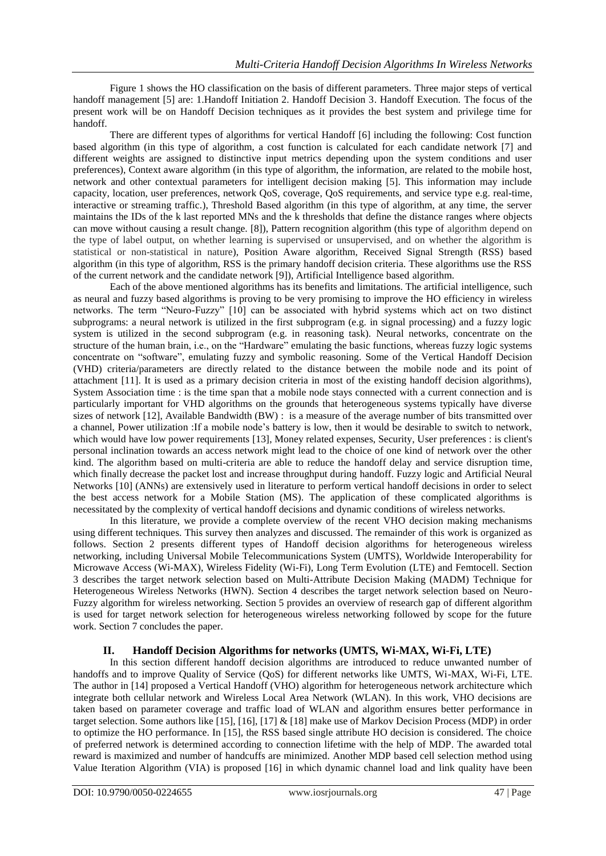Figure 1 shows the HO classification on the basis of different parameters. Three major steps of vertical handoff management [5] are: 1.Handoff Initiation 2. Handoff Decision 3. Handoff Execution. The focus of the present work will be on Handoff Decision techniques as it provides the best system and privilege time for handoff.

There are different types of algorithms for vertical Handoff [6] including the following: Cost function based algorithm (in this type of algorithm, a cost function is calculated for each candidate network [7] and different weights are assigned to distinctive input metrics depending upon the system conditions and user preferences), Context aware algorithm (in this type of algorithm, the information, are related to the mobile host, network and other contextual parameters for intelligent decision making [5]. This information may include capacity, location, user preferences, network QoS, coverage, QoS requirements, and service type e.g. real-time, interactive or streaming traffic.), Threshold Based algorithm (in this type of algorithm, at any time, the server maintains the IDs of the k last reported MNs and the k thresholds that define the distance ranges where objects can move without causing a result change. [8]), Pattern recognition algorithm (this type of algorithm depend on the type of label output, on whether learning is supervised or unsupervised, and on whether the algorithm is statistical or non-statistical in nature), Position Aware algorithm, Received Signal Strength (RSS) based algorithm (in this type of algorithm, RSS is the primary handoff decision criteria. These algorithms use the RSS of the current network and the candidate network [9]), Artificial Intelligence based algorithm.

Each of the above mentioned algorithms has its benefits and limitations. The artificial intelligence, such as neural and fuzzy based algorithms is proving to be very promising to improve the HO efficiency in wireless networks. The term "Neuro-Fuzzy" [10] can be associated with hybrid systems which act on two distinct subprograms: a neural network is utilized in the first subprogram (e.g. in signal processing) and a fuzzy logic system is utilized in the second subprogram (e.g. in reasoning task). Neural networks, concentrate on the structure of the human brain, i.e., on the "Hardware" emulating the basic functions, whereas fuzzy logic systems concentrate on "software", emulating fuzzy and symbolic reasoning. Some of the Vertical Handoff Decision (VHD) criteria/parameters are directly related to the distance between the mobile node and its point of attachment [11]. It is used as a primary decision criteria in most of the existing handoff decision algorithms), System Association time : is the time span that a mobile node stays connected with a current connection and is particularly important for VHD algorithms on the grounds that heterogeneous systems typically have diverse sizes of network [12], Available Bandwidth (BW) : is a measure of the average number of bits transmitted over a channel, Power utilization :If a mobile node's battery is low, then it would be desirable to switch to network, which would have low power requirements [13], Money related expenses, Security, User preferences : is client's personal inclination towards an access network might lead to the choice of one kind of network over the other kind. The algorithm based on multi-criteria are able to reduce the handoff delay and service disruption time, which finally decrease the packet lost and increase throughput during handoff. Fuzzy logic and Artificial Neural Networks [10] (ANNs) are extensively used in literature to perform vertical handoff decisions in order to select the best access network for a Mobile Station (MS). The application of these complicated algorithms is necessitated by the complexity of vertical handoff decisions and dynamic conditions of wireless networks.

In this literature, we provide a complete overview of the recent VHO decision making mechanisms using different techniques. This survey then analyzes and discussed. The remainder of this work is organized as follows. Section 2 presents different types of Handoff decision algorithms for heterogeneous wireless networking, including Universal Mobile Telecommunications System (UMTS), Worldwide Interoperability for Microwave Access (Wi-MAX), Wireless Fidelity (Wi-Fi), Long Term Evolution (LTE) and Femtocell. Section 3 describes the target network selection based on Multi-Attribute Decision Making (MADM) Technique for Heterogeneous Wireless Networks (HWN). Section 4 describes the target network selection based on Neuro-Fuzzy algorithm for wireless networking. Section 5 provides an overview of research gap of different algorithm is used for target network selection for heterogeneous wireless networking followed by scope for the future work. Section 7 concludes the paper.

## **II. Handoff Decision Algorithms for networks (UMTS, Wi-MAX, Wi-Fi, LTE)**

In this section different handoff decision algorithms are introduced to reduce unwanted number of handoffs and to improve Quality of Service (QoS) for different networks like UMTS, Wi-MAX, Wi-Fi, LTE. The author in [14] proposed a Vertical Handoff (VHO) algorithm for heterogeneous network architecture which integrate both cellular network and Wireless Local Area Network (WLAN). In this work, VHO decisions are taken based on parameter coverage and traffic load of WLAN and algorithm ensures better performance in target selection. Some authors like [15], [16], [17] & [18] make use of Markov Decision Process (MDP) in order to optimize the HO performance. In [15], the RSS based single attribute HO decision is considered. The choice of preferred network is determined according to connection lifetime with the help of MDP. The awarded total reward is maximized and number of handcuffs are minimized. Another MDP based cell selection method using Value Iteration Algorithm (VIA) is proposed [16] in which dynamic channel load and link quality have been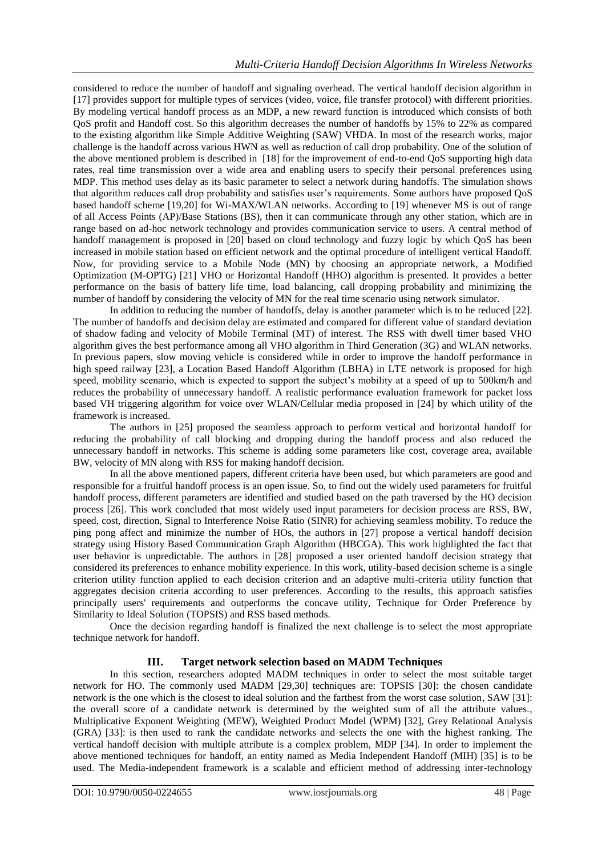considered to reduce the number of handoff and signaling overhead. The vertical handoff decision algorithm in [17] provides support for multiple types of services (video, voice, file transfer protocol) with different priorities. By modeling vertical handoff process as an MDP, a new reward function is introduced which consists of both QoS profit and Handoff cost. So this algorithm decreases the number of handoffs by 15% to 22% as compared to the existing algorithm like Simple Additive Weighting (SAW) VHDA. In most of the research works, major challenge is the handoff across various HWN as well as reduction of call drop probability. One of the solution of the above mentioned problem is described in [18] for the improvement of end-to-end QoS supporting high data rates, real time transmission over a wide area and enabling users to specify their personal preferences using MDP. This method uses delay as its basic parameter to select a network during handoffs. The simulation shows that algorithm reduces call drop probability and satisfies user's requirements. Some authors have proposed QoS based handoff scheme [19,20] for Wi-MAX/WLAN networks. According to [19] whenever MS is out of range of all Access Points (AP)/Base Stations (BS), then it can communicate through any other station, which are in range based on ad-hoc network technology and provides communication service to users. A central method of handoff management is proposed in [20] based on cloud technology and fuzzy logic by which QoS has been increased in mobile station based on efficient network and the optimal procedure of intelligent vertical Handoff. Now, for providing service to a Mobile Node (MN) by choosing an appropriate network, a Modified Optimization (M-OPTG) [21] VHO or Horizontal Handoff (HHO) algorithm is presented. It provides a better performance on the basis of battery life time, load balancing, call dropping probability and minimizing the number of handoff by considering the velocity of MN for the real time scenario using network simulator.

In addition to reducing the number of handoffs, delay is another parameter which is to be reduced [22]. The number of handoffs and decision delay are estimated and compared for different value of standard deviation of shadow fading and velocity of Mobile Terminal (MT) of interest. The RSS with dwell timer based VHO algorithm gives the best performance among all VHO algorithm in Third Generation (3G) and WLAN networks. In previous papers, slow moving vehicle is considered while in order to improve the handoff performance in high speed railway [23], a Location Based Handoff Algorithm (LBHA) in LTE network is proposed for high speed, mobility scenario, which is expected to support the subject's mobility at a speed of up to 500km/h and reduces the probability of unnecessary handoff. A realistic performance evaluation framework for packet loss based VH triggering algorithm for voice over WLAN/Cellular media proposed in [24] by which utility of the framework is increased.

The authors in [25] proposed the seamless approach to perform vertical and horizontal handoff for reducing the probability of call blocking and dropping during the handoff process and also reduced the unnecessary handoff in networks. This scheme is adding some parameters like cost, coverage area, available BW, velocity of MN along with RSS for making handoff decision.

In all the above mentioned papers, different criteria have been used, but which parameters are good and responsible for a fruitful handoff process is an open issue. So, to find out the widely used parameters for fruitful handoff process, different parameters are identified and studied based on the path traversed by the HO decision process [26]. This work concluded that most widely used input parameters for decision process are RSS, BW, speed, cost, direction, Signal to Interference Noise Ratio (SINR) for achieving seamless mobility. To reduce the ping pong affect and minimize the number of HOs, the authors in [27] propose a vertical handoff decision strategy using History Based Communication Graph Algorithm (HBCGA). This work highlighted the fact that user behavior is unpredictable. The authors in [28] proposed a user oriented handoff decision strategy that considered its preferences to enhance mobility experience. In this work, utility-based decision scheme is a single criterion utility function applied to each decision criterion and an adaptive multi-criteria utility function that aggregates decision criteria according to user preferences. According to the results, this approach satisfies principally users' requirements and outperforms the concave utility, Technique for Order Preference by Similarity to Ideal Solution (TOPSIS) and RSS based methods.

Once the decision regarding handoff is finalized the next challenge is to select the most appropriate technique network for handoff.

# **III. Target network selection based on MADM Techniques**

In this section, researchers adopted MADM techniques in order to select the most suitable target network for HO. The commonly used MADM [29,30] techniques are: TOPSIS [30]: the chosen candidate network is the one which is the closest to ideal solution and the farthest from the worst case solution, SAW [31]: the overall score of a candidate network is determined by the weighted sum of all the attribute values., Multiplicative Exponent Weighting (MEW), Weighted Product Model (WPM) [32], Grey Relational Analysis (GRA) [33]: is then used to rank the candidate networks and selects the one with the highest ranking. The vertical handoff decision with multiple attribute is a complex problem, MDP [34]. In order to implement the above mentioned techniques for handoff, an entity named as Media Independent Handoff (MIH) [35] is to be used. The Media-independent framework is a scalable and efficient method of addressing inter-technology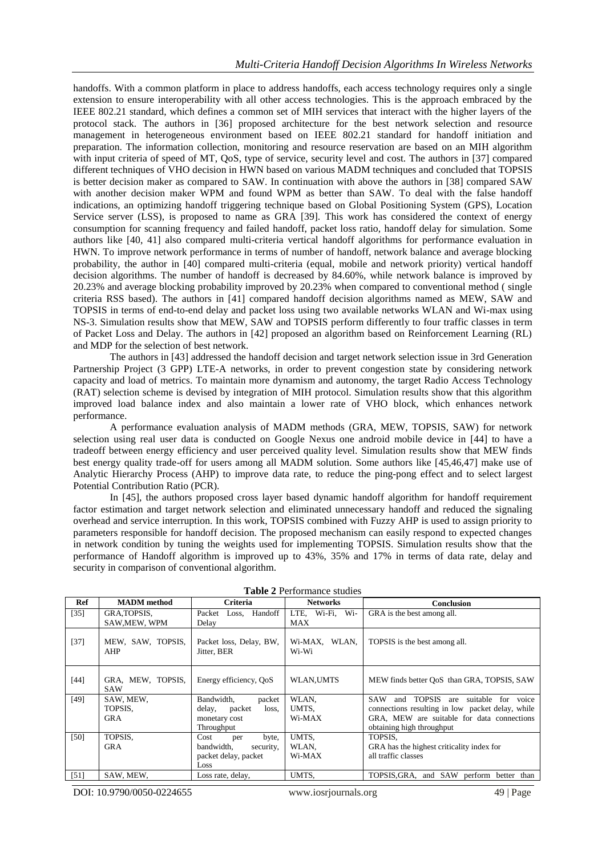handoffs. With a common platform in place to address handoffs, each access technology requires only a single extension to ensure interoperability with all other access technologies. This is the approach embraced by the IEEE 802.21 standard, which defines a common set of MIH services that interact with the higher layers of the protocol stack. The authors in [36] proposed architecture for the best network selection and resource management in heterogeneous environment based on IEEE 802.21 standard for handoff initiation and preparation. The information collection, monitoring and resource reservation are based on an MIH algorithm with input criteria of speed of MT, QoS, type of service, security level and cost. The authors in [37] compared different techniques of VHO decision in HWN based on various MADM techniques and concluded that TOPSIS is better decision maker as compared to SAW. In continuation with above the authors in [38] compared SAW with another decision maker WPM and found WPM as better than SAW. To deal with the false handoff indications, an optimizing handoff triggering technique based on Global Positioning System (GPS), Location Service server (LSS), is proposed to name as GRA [39]. This work has considered the context of energy consumption for scanning frequency and failed handoff, packet loss ratio, handoff delay for simulation. Some authors like [40, 41] also compared multi-criteria vertical handoff algorithms for performance evaluation in HWN. To improve network performance in terms of number of handoff, network balance and average blocking probability, the author in [40] compared multi-criteria (equal, mobile and network priority) vertical handoff decision algorithms. The number of handoff is decreased by 84.60%, while network balance is improved by 20.23% and average blocking probability improved by 20.23% when compared to conventional method ( single criteria RSS based). The authors in [41] compared handoff decision algorithms named as MEW, SAW and TOPSIS in terms of end-to-end delay and packet loss using two available networks WLAN and Wi-max using NS-3. Simulation results show that MEW, SAW and TOPSIS perform differently to four traffic classes in term of Packet Loss and Delay. The authors in [42] proposed an algorithm based on Reinforcement Learning (RL) and MDP for the selection of best network.

The authors in [43] addressed the handoff decision and target network selection issue in 3rd Generation Partnership Project (3 GPP) LTE-A networks, in order to prevent congestion state by considering network capacity and load of metrics. To maintain more dynamism and autonomy, the target Radio Access Technology (RAT) selection scheme is devised by integration of MIH protocol. Simulation results show that this algorithm improved load balance index and also maintain a lower rate of VHO block, which enhances network performance.

A performance evaluation analysis of MADM methods (GRA, MEW, TOPSIS, SAW) for network selection using real user data is conducted on Google Nexus one android mobile device in [44] to have a tradeoff between energy efficiency and user perceived quality level. Simulation results show that MEW finds best energy quality trade-off for users among all MADM solution. Some authors like [45,46,47] make use of Analytic Hierarchy Process (AHP) to improve data rate, to reduce the ping-pong effect and to select largest Potential Contribution Ratio (PCR).

In [45], the authors proposed cross layer based dynamic handoff algorithm for handoff requirement factor estimation and target network selection and eliminated unnecessary handoff and reduced the signaling overhead and service interruption. In this work, TOPSIS combined with Fuzzy AHP is used to assign priority to parameters responsible for handoff decision. The proposed mechanism can easily respond to expected changes in network condition by tuning the weights used for implementing TOPSIS. Simulation results show that the performance of Handoff algorithm is improved up to 43%, 35% and 17% in terms of data rate, delay and security in comparison of conventional algorithm.

| Ref    | <b>MADM</b> method              | Criteria                               | <b>Networks</b>           | <b>Conclusion</b>                                                  |
|--------|---------------------------------|----------------------------------------|---------------------------|--------------------------------------------------------------------|
| $[35]$ | GRA, TOPSIS,                    | Loss, Handoff<br>Packet                | LTE, Wi-Fi, Wi-           | GRA is the best among all.                                         |
|        | SAW, MEW, WPM                   | Delay                                  | <b>MAX</b>                |                                                                    |
| $[37]$ | MEW, SAW, TOPSIS,<br>AHP        | Packet loss, Delay, BW,<br>Jitter, BER | WLAN,<br>Wi-MAX,<br>Wi-Wi | TOPSIS is the best among all.                                      |
| $[44]$ | GRA, MEW, TOPSIS,<br><b>SAW</b> | Energy efficiency, OoS                 | WLAN,UMTS                 | MEW finds better OoS than GRA, TOPSIS, SAW                         |
| [49]   | SAW, MEW,                       | Bandwidth,<br>packet                   | WLAN,                     | <b>TOPSIS</b><br><b>SAW</b><br>suitable for<br>and<br>voice<br>are |
|        | TOPSIS.                         | delay,<br>packet<br>loss,              | UMTS,                     | connections resulting in low packet delay, while                   |
|        | <b>GRA</b>                      | monetary cost                          | Wi-MAX                    | GRA, MEW are suitable for data connections                         |
|        |                                 | Throughput                             |                           | obtaining high throughput                                          |
| [50]   | TOPSIS,                         | Cost<br>byte,<br>per                   | UMTS.                     | TOPSIS.                                                            |
|        | <b>GRA</b>                      | bandwidth.<br>security.                | WLAN,                     | GRA has the highest criticality index for                          |
|        |                                 | packet delay, packet                   | Wi-MAX                    | all traffic classes                                                |
|        |                                 | Loss                                   |                           |                                                                    |
| [51]   | SAW, MEW,                       | Loss rate, delay,                      | UMTS.                     | TOPSIS,GRA,<br>and SAW<br>perform<br>better than                   |

**Table 2** Performance studies

DOI: 10.9790/0050-0224655 www.iosrjournals.org 49 | Page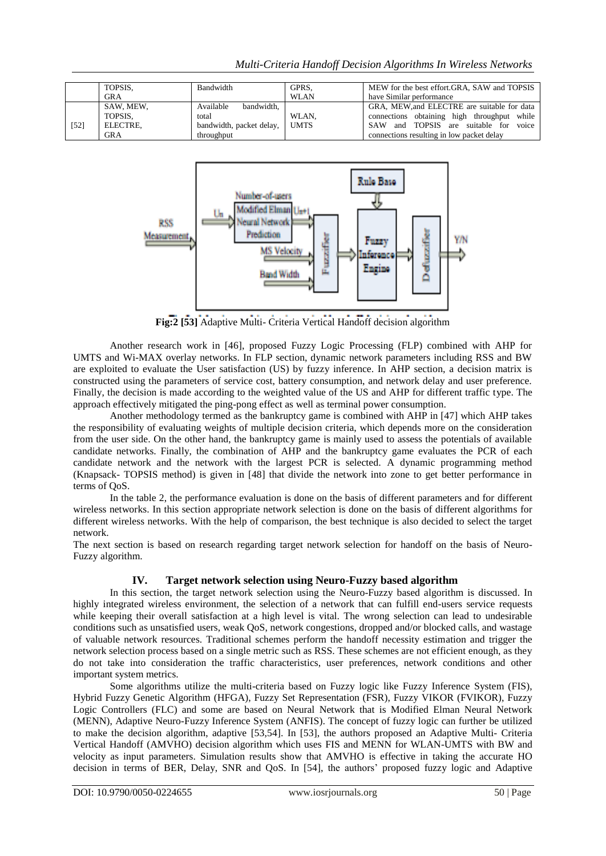|      | TOPSIS.    | Bandwidth                     | GPRS,       | MEW for the best effort.GRA, SAW and TOPSIS     |
|------|------------|-------------------------------|-------------|-------------------------------------------------|
|      | <b>GRA</b> |                               | <b>WLAN</b> | have Similar performance                        |
|      | SAW, MEW,  | bandwidth.<br>Available       |             | GRA, MEW, and ELECTRE are suitable for data     |
|      | TOPSIS.    | total                         | WLAN.       | connections obtaining high throughput while     |
| [52] | ELECTRE.   | bandwidth, packet delay, UMTS |             | and TOPSIS are suitable for voice<br><b>SAW</b> |
|      | GRA        | throughput                    |             | connections resulting in low packet delay       |



**Fig:2 [53]** Adaptive Multi- Criteria Vertical Handoff decision algorithm

Another research work in [46], proposed Fuzzy Logic Processing (FLP) combined with AHP for UMTS and Wi-MAX overlay networks. In FLP section, dynamic network parameters including RSS and BW are exploited to evaluate the User satisfaction (US) by fuzzy inference. In AHP section, a decision matrix is constructed using the parameters of service cost, battery consumption, and network delay and user preference. Finally, the decision is made according to the weighted value of the US and AHP for different traffic type. The approach effectively mitigated the ping-pong effect as well as terminal power consumption.

Another methodology termed as the bankruptcy game is combined with AHP in [47] which AHP takes the responsibility of evaluating weights of multiple decision criteria, which depends more on the consideration from the user side. On the other hand, the bankruptcy game is mainly used to assess the potentials of available candidate networks. Finally, the combination of AHP and the bankruptcy game evaluates the PCR of each candidate network and the network with the largest PCR is selected. A dynamic programming method (Knapsack- TOPSIS method) is given in [48] that divide the network into zone to get better performance in terms of QoS.

In the table 2, the performance evaluation is done on the basis of different parameters and for different wireless networks. In this section appropriate network selection is done on the basis of different algorithms for different wireless networks. With the help of comparison, the best technique is also decided to select the target network.

The next section is based on research regarding target network selection for handoff on the basis of Neuro-Fuzzy algorithm.

# **IV. Target network selection using Neuro-Fuzzy based algorithm**

In this section, the target network selection using the Neuro-Fuzzy based algorithm is discussed. In highly integrated wireless environment, the selection of a network that can fulfill end-users service requests while keeping their overall satisfaction at a high level is vital. The wrong selection can lead to undesirable conditions such as unsatisfied users, weak QoS, network congestions, dropped and/or blocked calls, and wastage of valuable network resources. Traditional schemes perform the handoff necessity estimation and trigger the network selection process based on a single metric such as RSS. These schemes are not efficient enough, as they do not take into consideration the traffic characteristics, user preferences, network conditions and other important system metrics.

Some algorithms utilize the multi-criteria based on Fuzzy logic like Fuzzy Inference System (FIS), Hybrid Fuzzy Genetic Algorithm (HFGA), Fuzzy Set Representation (FSR), Fuzzy VIKOR (FVIKOR), Fuzzy Logic Controllers (FLC) and some are based on Neural Network that is Modified Elman Neural Network (MENN), Adaptive Neuro-Fuzzy Inference System (ANFIS). The concept of fuzzy logic can further be utilized to make the decision algorithm, adaptive [53,54]. In [53], the authors proposed an Adaptive Multi- Criteria Vertical Handoff (AMVHO) decision algorithm which uses FIS and MENN for WLAN-UMTS with BW and velocity as input parameters. Simulation results show that AMVHO is effective in taking the accurate HO decision in terms of BER, Delay, SNR and QoS. In [54], the authors' proposed fuzzy logic and Adaptive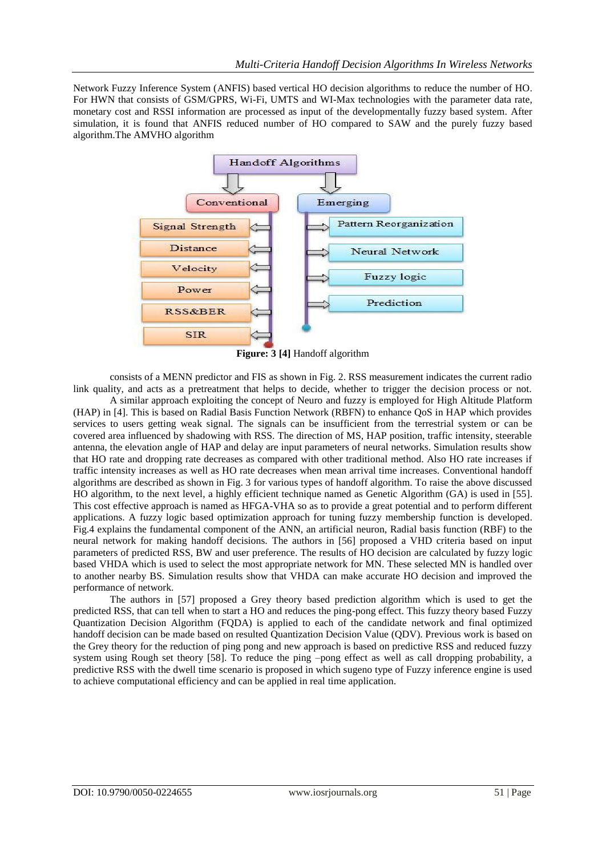Network Fuzzy Inference System (ANFIS) based vertical HO decision algorithms to reduce the number of HO. For HWN that consists of GSM/GPRS, Wi-Fi, UMTS and WI-Max technologies with the parameter data rate, monetary cost and RSSI information are processed as input of the developmentally fuzzy based system. After simulation, it is found that ANFIS reduced number of HO compared to SAW and the purely fuzzy based algorithm.The AMVHO algorithm



**Figure: 3 [4]** Handoff algorithm

consists of a MENN predictor and FIS as shown in Fig. 2. RSS measurement indicates the current radio link quality, and acts as a pretreatment that helps to decide, whether to trigger the decision process or not.

A similar approach exploiting the concept of Neuro and fuzzy is employed for High Altitude Platform (HAP) in [4]. This is based on Radial Basis Function Network (RBFN) to enhance QoS in HAP which provides services to users getting weak signal. The signals can be insufficient from the terrestrial system or can be covered area influenced by shadowing with RSS. The direction of MS, HAP position, traffic intensity, steerable antenna, the elevation angle of HAP and delay are input parameters of neural networks. Simulation results show that HO rate and dropping rate decreases as compared with other traditional method. Also HO rate increases if traffic intensity increases as well as HO rate decreases when mean arrival time increases. Conventional handoff algorithms are described as shown in Fig. 3 for various types of handoff algorithm. To raise the above discussed HO algorithm, to the next level, a highly efficient technique named as Genetic Algorithm (GA) is used in [55]. This cost effective approach is named as HFGA-VHA so as to provide a great potential and to perform different applications. A fuzzy logic based optimization approach for tuning fuzzy membership function is developed. Fig.4 explains the fundamental component of the ANN, an artificial neuron, Radial basis function (RBF) to the neural network for making handoff decisions. The authors in [56] proposed a VHD criteria based on input parameters of predicted RSS, BW and user preference. The results of HO decision are calculated by fuzzy logic based VHDA which is used to select the most appropriate network for MN. These selected MN is handled over to another nearby BS. Simulation results show that VHDA can make accurate HO decision and improved the performance of network.

The authors in [57] proposed a Grey theory based prediction algorithm which is used to get the predicted RSS, that can tell when to start a HO and reduces the ping-pong effect. This fuzzy theory based Fuzzy Quantization Decision Algorithm (FQDA) is applied to each of the candidate network and final optimized handoff decision can be made based on resulted Quantization Decision Value (QDV). Previous work is based on the Grey theory for the reduction of ping pong and new approach is based on predictive RSS and reduced fuzzy system using Rough set theory [58]. To reduce the ping –pong effect as well as call dropping probability, a predictive RSS with the dwell time scenario is proposed in which sugeno type of Fuzzy inference engine is used to achieve computational efficiency and can be applied in real time application.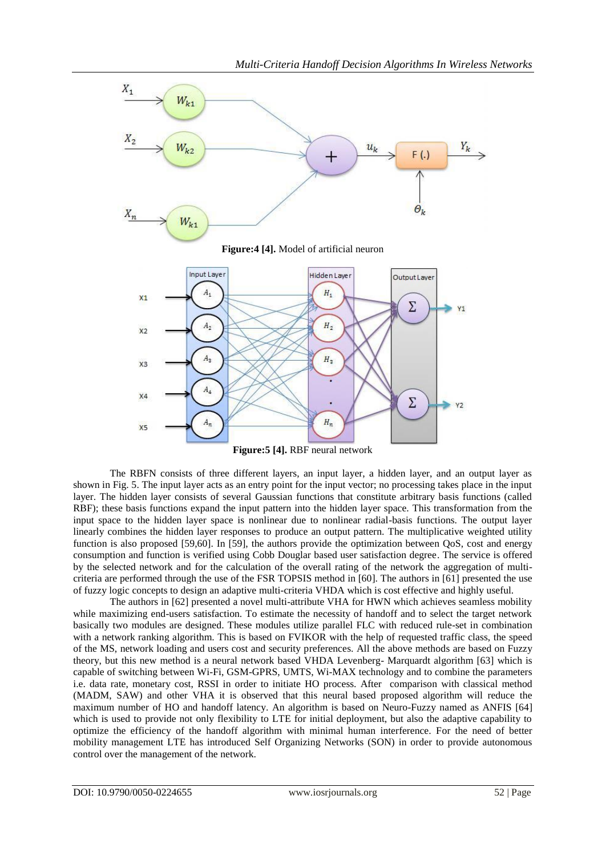

The RBFN consists of three different layers, an input layer, a hidden layer, and an output layer as shown in Fig. 5. The input layer acts as an entry point for the input vector; no processing takes place in the input layer. The hidden layer consists of several Gaussian functions that constitute arbitrary basis functions (called RBF); these basis functions expand the input pattern into the hidden layer space. This transformation from the input space to the hidden layer space is nonlinear due to nonlinear radial-basis functions. The output layer linearly combines the hidden layer responses to produce an output pattern. The multiplicative weighted utility function is also proposed [59,60]. In [59], the authors provide the optimization between QoS, cost and energy consumption and function is verified using Cobb Douglar based user satisfaction degree. The service is offered by the selected network and for the calculation of the overall rating of the network the aggregation of multicriteria are performed through the use of the FSR TOPSIS method in [60]. The authors in [61] presented the use of fuzzy logic concepts to design an adaptive multi-criteria VHDA which is cost effective and highly useful.

The authors in [62] presented a novel multi-attribute VHA for HWN which achieves seamless mobility while maximizing end-users satisfaction. To estimate the necessity of handoff and to select the target network basically two modules are designed. These modules utilize parallel FLC with reduced rule-set in combination with a network ranking algorithm. This is based on FVIKOR with the help of requested traffic class, the speed of the MS, network loading and users cost and security preferences. All the above methods are based on Fuzzy theory, but this new method is a neural network based VHDA Levenberg- Marquardt algorithm [63] which is capable of switching between Wi-Fi, GSM-GPRS, UMTS, Wi-MAX technology and to combine the parameters i.e. data rate, monetary cost, RSSI in order to initiate HO process. After comparison with classical method (MADM, SAW) and other VHA it is observed that this neural based proposed algorithm will reduce the maximum number of HO and handoff latency. An algorithm is based on Neuro-Fuzzy named as ANFIS [64] which is used to provide not only flexibility to LTE for initial deployment, but also the adaptive capability to optimize the efficiency of the handoff algorithm with minimal human interference. For the need of better mobility management LTE has introduced Self Organizing Networks (SON) in order to provide autonomous control over the management of the network.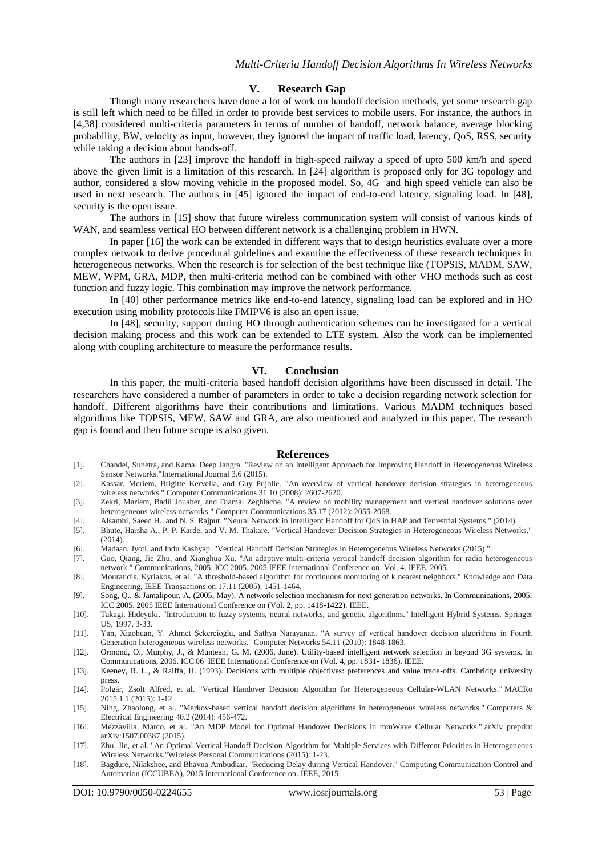### **V. Research Gap**

Though many researchers have done a lot of work on handoff decision methods, yet some research gap is still left which need to be filled in order to provide best services to mobile users. For instance, the authors in [4,38] considered multi-criteria parameters in terms of number of handoff, network balance, average blocking probability, BW, velocity as input, however, they ignored the impact of traffic load, latency, QoS, RSS, security while taking a decision about hands-off.

The authors in [23] improve the handoff in high-speed railway a speed of upto 500 km/h and speed above the given limit is a limitation of this research. In [24] algorithm is proposed only for 3G topology and author, considered a slow moving vehicle in the proposed model. So, 4G and high speed vehicle can also be used in next research. The authors in [45] ignored the impact of end-to-end latency, signaling load. In [48], security is the open issue.

The authors in [15] show that future wireless communication system will consist of various kinds of WAN, and seamless vertical HO between different network is a challenging problem in HWN.

In paper [16] the work can be extended in different ways that to design heuristics evaluate over a more complex network to derive procedural guidelines and examine the effectiveness of these research techniques in heterogeneous networks. When the research is for selection of the best technique like (TOPSIS, MADM, SAW, MEW, WPM, GRA, MDP, then multi-criteria method can be combined with other VHO methods such as cost function and fuzzy logic. This combination may improve the network performance.

In [40] other performance metrics like end-to-end latency, signaling load can be explored and in HO execution using mobility protocols like FMIPV6 is also an open issue.

In [48], security, support during HO through authentication schemes can be investigated for a vertical decision making process and this work can be extended to LTE system. Also the work can be implemented along with coupling architecture to measure the performance results.

### **VI. Conclusion**

In this paper, the multi-criteria based handoff decision algorithms have been discussed in detail. The researchers have considered a number of parameters in order to take a decision regarding network selection for handoff. Different algorithms have their contributions and limitations. Various MADM techniques based algorithms like TOPSIS, MEW, SAW and GRA, are also mentioned and analyzed in this paper. The research gap is found and then future scope is also given.

#### **References**

- [1]. Chandel, Sunetra, and Kamal Deep Jangra. "Review on an Intelligent Approach for Improving Handoff in Heterogeneous Wireless Sensor Networks."International Journal 3.6 (2015).
- [2]. Kassar, Meriem, Brigitte Kervella, and Guy Pujolle. "An overview of vertical handover decision strategies in heterogeneous wireless networks." Computer Communications 31.10 (2008): 2607-2620.
- [3]. Zekri, Mariem, Badii Jouaber, and Djamal Zeghlache. "A review on mobility management and vertical handover solutions over heterogeneous wireless networks." Computer Communications 35.17 (2012): 2055-2068.
- [4]. Alsamhi, Saeed H., and N. S. Rajput. "Neural Network in Intelligent Handoff for QoS in HAP and Terrestrial Systems." (2014).
- [5]. Bhute, Harsha A., P. P. Karde, and V. M. Thakare. "Vertical Handover Decision Strategies in Heterogeneous Wireless Networks." (2014).
- [6]. Madaan, Jyoti, and Indu Kashyap. "Vertical Handoff Decision Strategies in Heterogeneous Wireless Networks (2015)."
- [7]. Guo, Qiang, Jie Zhu, and Xianghua Xu. "An adaptive multi-criteria vertical handoff decision algorithm for radio heterogeneous network." Communications, 2005. ICC 2005. 2005 IEEE International Conference on. Vol. 4. IEEE, 2005.
- [8]. Mouratidis, Kyriakos, et al. "A threshold-based algorithm for continuous monitoring of k nearest neighbors." Knowledge and Data Engineering, IEEE Transactions on 17.11 (2005): 1451-1464.
- [9]. Song, Q., & Jamalipour, A. (2005, May). A network selection mechanism for next generation networks. In Communications, 2005. ICC 2005. 2005 IEEE International Conference on (Vol. 2, pp. 1418-1422). IEEE.
- [10]. Takagi, Hideyuki. "Introduction to fuzzy systems, neural networks, and genetic algorithms." Intelligent Hybrid Systems. Springer US, 1997. 3-33.
- [11]. Yan, Xiaohuan, Y. Ahmet Şekercioğlu, and Sathya Narayanan. "A survey of vertical handover decision algorithms in Fourth Generation heterogeneous wireless networks." Computer Networks 54.11 (2010): 1848-1863.
- [12]. Ormond, O., Murphy, J., & Muntean, G. M. (2006, June). Utility-based intelligent network selection in beyond 3G systems. In Communications, 2006. ICC'06 IEEE International Conference on (Vol. 4, pp. 1831- 1836). IEEE.
- [13]. Keeney, R. L., & Raiffa, H. (1993). Decisions with multiple objectives: preferences and value trade-offs. Cambridge university press.
- [14]. Polgár, Zsolt Alfréd, et al. "Vertical Handover Decision Algorithm for Heterogeneous Cellular-WLAN Networks." MACRo 2015 1.1 (2015): 1-12.
- [15]. Ning, Zhaolong, et al. "Markov-based vertical handoff decision algorithms in heterogeneous wireless networks." Computers & Electrical Engineering 40.2 (2014): 456-472.
- [16]. Mezzavilla, Marco, et al. "An MDP Model for Optimal Handover Decisions in mmWave Cellular Networks." arXiv preprint arXiv:1507.00387 (2015).
- [17]. Zhu, Jin, et al. "An Optimal Vertical Handoff Decision Algorithm for Multiple Services with Different Priorities in Heterogeneous Wireless Networks."Wireless Personal Communications (2015): 1-23.
- [18]. Bagdure, Nilakshee, and Bhavna Ambudkar. "Reducing Delay during Vertical Handover." Computing Communication Control and Automation (ICCUBEA), 2015 International Conference on. IEEE, 2015.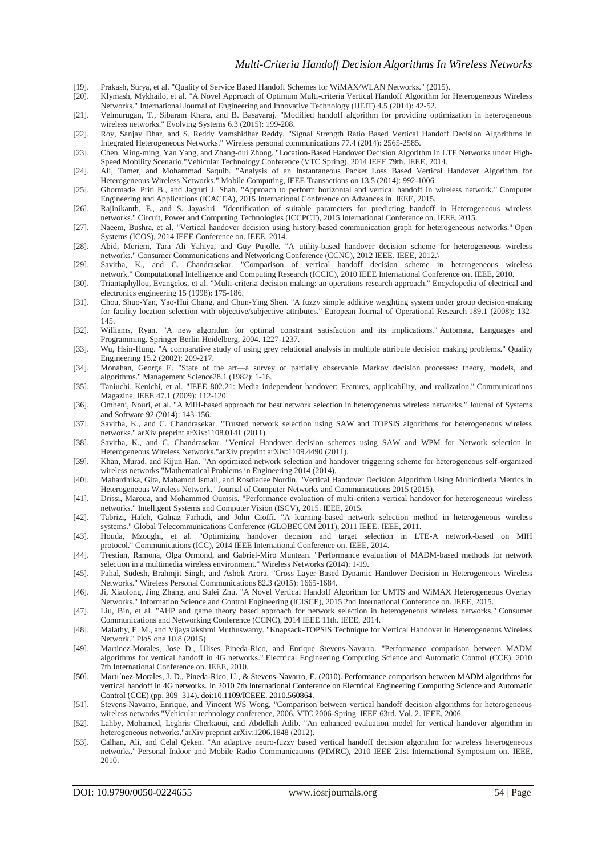- [19]. Prakash, Surya, et al. "Quality of Service Based Handoff Schemes for WiMAX/WLAN Networks." (2015).
- [20]. Klymash, Mykhailo, et al. "A Novel Approach of Optimum Multi-criteria Vertical Handoff Algorithm for Heterogeneous Wireless Networks." International Journal of Engineering and Innovative Technology (IJEIT) 4.5 (2014): 42-52.
- [21]. Velmurugan, T., Sibaram Khara, and B. Basavaraj. "Modified handoff algorithm for providing optimization in heterogeneous wireless networks." Evolving Systems 6.3 (2015): 199-208.
- [22]. Roy, Sanjay Dhar, and S. Reddy Vamshidhar Reddy. "Signal Strength Ratio Based Vertical Handoff Decision Algorithms in Integrated Heterogeneous Networks." Wireless personal communications 77.4 (2014): 2565-2585.
- [23]. Chen, Ming-ming, Yan Yang, and Zhang-dui Zhong. "Location-Based Handover Decision Algorithm in LTE Networks under High-Speed Mobility Scenario."Vehicular Technology Conference (VTC Spring), 2014 IEEE 79th. IEEE, 2014.
- [24]. Ali, Tamer, and Mohammad Saquib. "Analysis of an Instantaneous Packet Loss Based Vertical Handover Algorithm for Heterogeneous Wireless Networks." Mobile Computing, IEEE Transactions on 13.5 (2014): 992-1006.
- [25]. Ghormade, Priti B., and Jagruti J. Shah. "Approach to perform horizontal and vertical handoff in wireless network." Computer Engineering and Applications (ICACEA), 2015 International Conference on Advances in. IEEE, 2015.
- [26]. Rajinikanth, E., and S. Jayashri. "Identification of suitable parameters for predicting handoff in Heterogeneous wireless networks." Circuit, Power and Computing Technologies (ICCPCT), 2015 International Conference on. IEEE, 2015.
- [27]. Naeem, Bushra, et al. "Vertical handover decision using history-based communication graph for heterogeneous networks." Open Systems (ICOS), 2014 IEEE Conference on. IEEE, 2014.
- [28]. Abid, Meriem, Tara Ali Yahiya, and Guy Pujolle. "A utility-based handover decision scheme for heterogeneous wireless networks." Consumer Communications and Networking Conference (CCNC), 2012 IEEE. IEEE, 2012.\
- [29]. Savitha, K., and C. Chandrasekar. "Comparison of vertical handoff decision scheme in heterogeneous wireless network." Computational Intelligence and Computing Research (ICCIC), 2010 IEEE International Conference on. IEEE, 2010.
- [30]. Triantaphyllou, Evangelos, et al. "Multi-criteria decision making: an operations research approach." Encyclopedia of electrical and electronics engineering 15 (1998): 175-186.
- [31]. Chou, Shuo-Yan, Yao-Hui Chang, and Chun-Ying Shen. "A fuzzy simple additive weighting system under group decision-making for facility location selection with objective/subjective attributes." European Journal of Operational Research 189.1 (2008): 132- 145.
- [32]. Williams, Ryan. "A new algorithm for optimal constraint satisfaction and its implications." Automata, Languages and Programming. Springer Berlin Heidelberg, 2004. 1227-1237.
- [33]. Wu, Hsin-Hung. "A comparative study of using grey relational analysis in multiple attribute decision making problems." Quality Engineering 15.2 (2002): 209-217.
- [34]. Monahan, George E. "State of the art—a survey of partially observable Markov decision processes: theory, models, and algorithms." Management Science28.1 (1982): 1-16.
- [35]. Taniuchi, Kenichi, et al. "IEEE 802.21: Media independent handover: Features, applicability, and realization." Communications Magazine, IEEE 47.1 (2009): 112-120.
- [36]. Omheni, Nouri, et al. "A MIH-based approach for best network selection in heterogeneous wireless networks." Journal of Systems and Software 92 (2014): 143-156.
- [37]. Savitha, K., and C. Chandrasekar. "Trusted network selection using SAW and TOPSIS algorithms for heterogeneous wireless networks." arXiv preprint arXiv:1108.0141 (2011).
- [38]. Savitha, K., and C. Chandrasekar. "Vertical Handover decision schemes using SAW and WPM for Network selection in Heterogeneous Wireless Networks."arXiv preprint arXiv:1109.4490 (2011).
- [39]. Khan, Murad, and Kijun Han. "An optimized network selection and handover triggering scheme for heterogeneous self-organized wireless networks."Mathematical Problems in Engineering 2014 (2014).
- [40]. Mahardhika, Gita, Mahamod Ismail, and Rosdiadee Nordin. "Vertical Handover Decision Algorithm Using Multicriteria Metrics in Heterogeneous Wireless Network." Journal of Computer Networks and Communications 2015 (2015).
- [41]. Drissi, Maroua, and Mohammed Oumsis. "Performance evaluation of multi-criteria vertical handover for heterogeneous wireless networks." Intelligent Systems and Computer Vision (ISCV), 2015. IEEE, 2015.
- [42]. Tabrizi, Haleh, Golnaz Farhadi, and John Cioffi. "A learning-based network selection method in heterogeneous wireless systems." Global Telecommunications Conference (GLOBECOM 2011), 2011 IEEE. IEEE, 2011.
- [43]. Houda, Mzoughi, et al. "Optimizing handover decision and target selection in LTE-A network-based on MIH protocol." Communications (ICC), 2014 IEEE International Conference on. IEEE, 2014.
- [44]. Trestian, Ramona, Olga Ormond, and Gabriel-Miro Muntean. "Performance evaluation of MADM-based methods for network selection in a multimedia wireless environment." Wireless Networks (2014): 1-19.
- [45]. Pahal, Sudesh, Brahmjit Singh, and Ashok Arora. "Cross Layer Based Dynamic Handover Decision in Heterogeneous Wireless Networks." Wireless Personal Communications 82.3 (2015): 1665-1684.
- [46]. Ji, Xiaolong, Jing Zhang, and Sulei Zhu. "A Novel Vertical Handoff Algorithm for UMTS and WiMAX Heterogeneous Overlay Networks." Information Science and Control Engineering (ICISCE), 2015 2nd International Conference on. IEEE, 2015.
- [47]. Liu, Bin, et al. "AHP and game theory based approach for network selection in heterogeneous wireless networks." Consumer Communications and Networking Conference (CCNC), 2014 IEEE 11th. IEEE, 2014.
- [48]. Malathy, E. M., and Vijayalakshmi Muthuswamy. "Knapsack-TOPSIS Technique for Vertical Handover in Heterogeneous Wireless Network." PloS one 10.8 (2015)
- [49]. Martinez-Morales, Jose D., Ulises Pineda-Rico, and Enrique Stevens-Navarro. "Performance comparison between MADM algorithms for vertical handoff in 4G networks." Electrical Engineering Computing Science and Automatic Control (CCE), 2010 7th International Conference on. IEEE, 2010.
- [50]. Martı´nez-Morales, J. D., Pineda-Rico, U., & Stevens-Navarro, E. (2010). Performance comparison between MADM algorithms for vertical handoff in 4G networks. In 2010 7th International Conference on Electrical Engineering Computing Science and Automatic Control (CCE) (pp. 309–314). doi:10.1109/ICEEE. 2010.560864.
- [51]. Stevens-Navarro, Enrique, and Vincent WS Wong. "Comparison between vertical handoff decision algorithms for heterogeneous wireless networks."Vehicular technology conference, 2006. VTC 2006-Spring. IEEE 63rd. Vol. 2. IEEE, 2006.
- [52]. Lahby, Mohamed, Leghris Cherkaoui, and Abdellah Adib. "An enhanced evaluation model for vertical handover algorithm in heterogeneous networks."arXiv preprint arXiv:1206.1848 (2012).
- [53]. Çalhan, Ali, and Celal Çeken. "An adaptive neuro-fuzzy based vertical handoff decision algorithm for wireless heterogeneous networks." Personal Indoor and Mobile Radio Communications (PIMRC), 2010 IEEE 21st International Symposium on. IEEE, 2010.